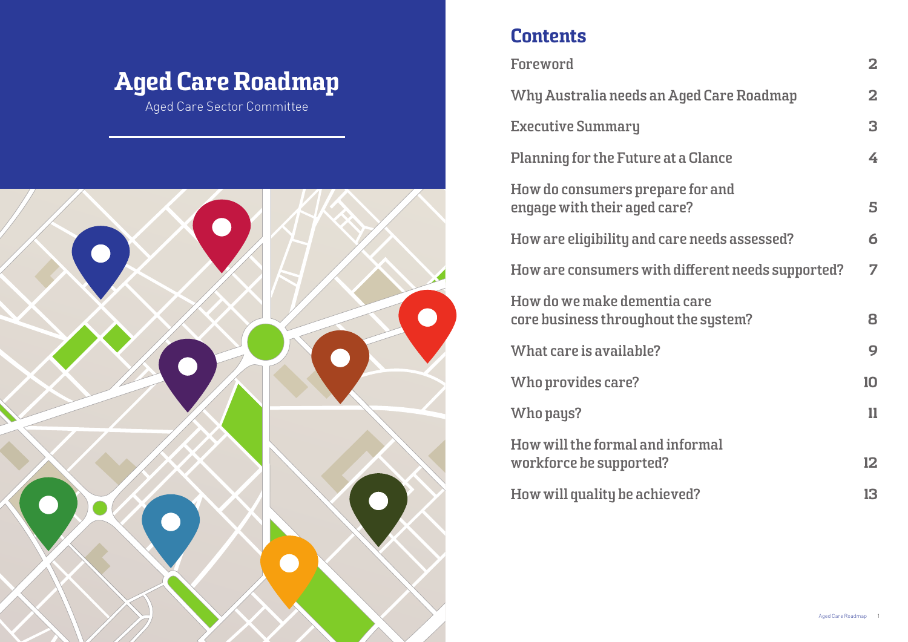# Aged Care Roadmap

Aged Care Sector Committee



## **Contents**

**[Foreword](#page-1-0)** 

**Why Australia needs an Ago** 

**[Executive Summary](#page-2-0)** 

**Planning for the Future at a** 

**How do consumers prepare [engage with their aged care?](#page-4-0)** 5

**How are eligibility and care** 

**How are consumers with dif-**

**[How do we make dementia care](#page-7-0)**  core business throughout th

**[What care is available?](#page-8-0)** 

**Who provides care?** 

**[Who pays?](#page-10-0)** 

**How will the formal and informal** [workforce be supported?](#page-11-0)

**How will quality be achieved** 

|                           | $\overline{\mathbf{2}}$ |
|---------------------------|-------------------------|
| ed Care Roadmap           | $\overline{\mathbf{2}}$ |
|                           | 3                       |
| <b>Glance</b>             | 4                       |
| for and<br>$\overline{?}$ | 5                       |
| needs assessed?           | 6                       |
| fferent needs supported?  | 7                       |
| care<br>ie system?        | 8                       |
|                           | 9                       |
|                           | 10                      |
|                           | 11                      |
| ormal                     |                         |
|                           | 12                      |
| $d$ ?                     | 13                      |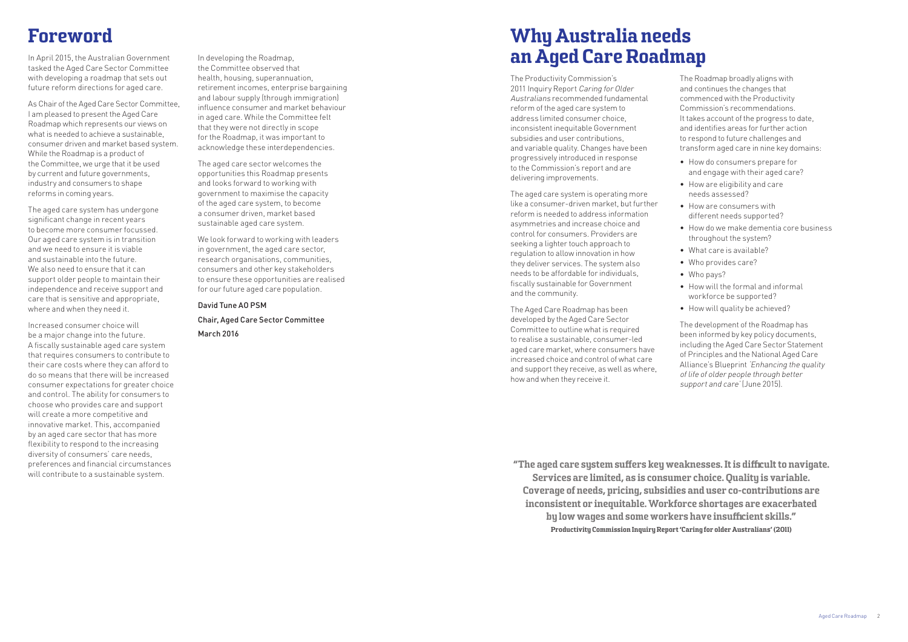## Why Australia needs an Aged Care Roadmap

The Productivity Commission's 2011 Inquiry Report Caring for Older Australians recommended fundamental reform of the aged care system to address limited consumer choice, inconsistent inequitable Government subsidies and user contributions, and variable quality. Changes have been progressively introduced in response to the Commission's report and are delivering improvements.

The aged care system is operating more like a consumer-driven market, but further reform is needed to address information asymmetries and increase choice and control for consumers. Providers are seeking a lighter touch approach to regulation to allow innovation in how they deliver services. The system also needs to be affordable for individuals, fiscally sustainable for Government and the community.

> The development of the Roadmap has been informed by key policy documents, including the Aged Care Sector Statement of Principles and the National Aged Care Alliance's Blueprint 'Enhancing the quality of life of older people through better support and care' (June 2015).

The Aged Care Roadmap has been developed by the Aged Care Sector Committee to outline what is required to realise a sustainable, consumer-led aged care market, where consumers have increased choice and control of what care and support they receive, as well as where, how and when they receive it.

The Roadmap broadly aligns with and continues the changes that commenced with the Productivity Commission's recommendations. It takes account of the progress to date, and identifies areas for further action to respond to future challenges and transform aged care in nine key domains:

- How do consumers prepare for and engage with their aged care?
- How are eligibility and care
- needs assessed? • How are consumers with
- different needs supported?
- How do we make dementia core business
- throughout the system?
- What care is available?
- Who provides care?
- Who pays?
- How will the formal and informal
- workforce be supported?
- How will quality be achieved?

## <span id="page-1-0"></span>Foreword

In April 2015, the Australian Government tasked the Aged Care Sector Committee with developing a roadmap that sets out future reform directions for aged care.

As Chair of the Aged Care Sector Committee, I am pleased to present the Aged Care Roadmap which represents our views on what is needed to achieve a sustainable, consumer driven and market based system. While the Roadmap is a product of the Committee, we urge that it be used by current and future governments, industry and consumers to shape reforms in coming years.

> "The aged care sustem suffers key weaknesses. It is difficult to navigate. Services are limited, as is consumer choice. Quality is variable. Coverage of needs, pricing, subsidies and user co-contributions are inconsistent or inequitable. Workforce shortages are exacerbated by low wages and some workers have insufficient skills." Productivity Commission Inquiry Report 'Caring for older Australians' (2011)

The aged care system has undergone significant change in recent years to become more consumer focussed. Our aged care system is in transition and we need to ensure it is viable and sustainable into the future. We also need to ensure that it can support older people to maintain their independence and receive support and care that is sensitive and appropriate, where and when they need it.

Increased consumer choice will be a major change into the future. A fiscally sustainable aged care system that requires consumers to contribute to their care costs where they can afford to do so means that there will be increased consumer expectations for greater choice and control. The ability for consumers to choose who provides care and support will create a more competitive and innovative market. This, accompanied by an aged care sector that has more flexibility to respond to the increasing diversity of consumers' care needs, preferences and financial circumstances will contribute to a sustainable system.

In developing the Roadmap, the Committee observed that health, housing, superannuation, retirement incomes, enterprise bargaining and labour supply (through immigration) influence consumer and market behaviour in aged care. While the Committee felt that they were not directly in scope for the Roadmap, it was important to acknowledge these interdependencies.

The aged care sector welcomes the opportunities this Roadmap presents and looks forward to working with government to maximise the capacity of the aged care system, to become a consumer driven, market based sustainable aged care system.

We look forward to working with leaders in government, the aged care sector, research organisations, communities, consumers and other key stakeholders to ensure these opportunities are realised for our future aged care population.

#### David Tune AO PSM

Chair, Aged Care Sector Committee March 2016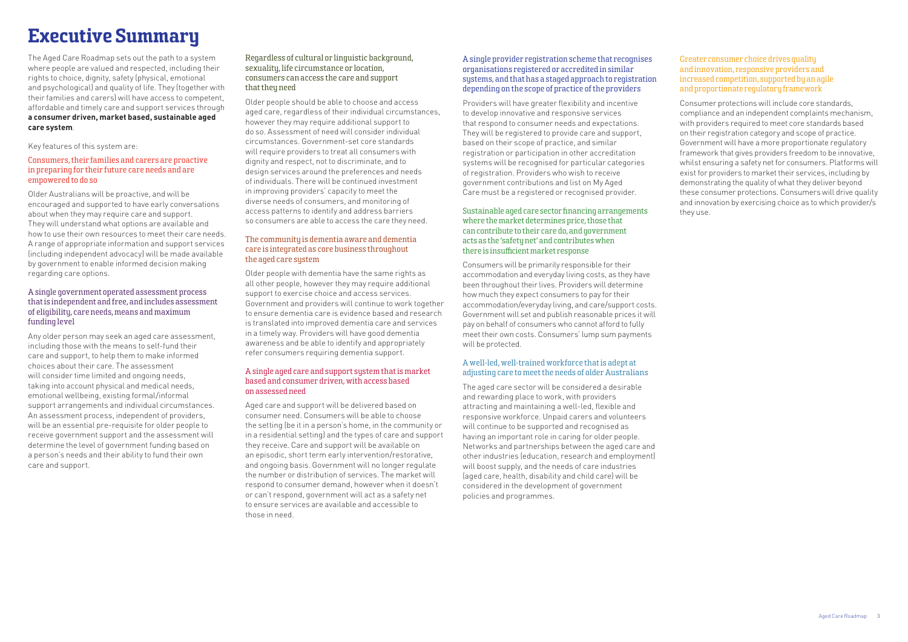# <span id="page-2-0"></span>Executive Summary

The Aged Care Roadmap sets out the path to a system where people are valued and respected, including their rights to choice, dignity, safety (physical, emotional and psychological) and quality of life. They (together with their families and carers) will have access to competent, affordable and timely care and support services through **a consumer driven, market based, sustainable aged care system**.

Key features of this system are:

#### Consumers, their families and carers are proactive in preparing for their future care needs and are empowered to do so

Older Australians will be proactive, and will be encouraged and supported to have early conversations about when they may require care and support. They will understand what options are available and how to use their own resources to meet their care needs. A range of appropriate information and support services (including independent advocacy) will be made available by government to enable informed decision making regarding care options.

#### A single government operated assessment process that is independent and free, and includes assessment of eligibility, care needs, means and maximum funding level

Any older person may seek an aged care assessment, including those with the means to self-fund their care and support, to help them to make informed choices about their care. The assessment will consider time limited and ongoing needs. taking into account physical and medical needs, emotional wellbeing, existing formal/informal support arrangements and individual circumstances. An assessment process, independent of providers, will be an essential pre-requisite for older people to receive government support and the assessment will determine the level of government funding based on a person's needs and their ability to fund their own care and support.

#### Regardless of cultural or linguistic background, sexuality, life circumstance or location, consumers can access the care and support that they need

Older people should be able to choose and access aged care, regardless of their individual circumstances, however they may require additional support to do so. Assessment of need will consider individual circumstances. Government-set core standards will require providers to treat all consumers with dignity and respect, not to discriminate, and to design services around the preferences and needs of individuals. There will be continued investment in improving providers' capacity to meet the diverse needs of consumers, and monitoring of access patterns to identify and address barriers so consumers are able to access the care they need.

### The community is dementia aware and dementia care is integrated as core business throughout the aged care system

Older people with dementia have the same rights as all other people, however they may require additional support to exercise choice and access services. Government and providers will continue to work together to ensure dementia care is evidence based and research is translated into improved dementia care and services in a timely way. Providers will have good dementia awareness and be able to identify and appropriately refer consumers requiring dementia support.

#### A single aged care and support system that is market based and consumer driven, with access based on assessed need

Aged care and support will be delivered based on consumer need. Consumers will be able to choose the setting (be it in a person's home, in the community or in a residential setting) and the types of care and support they receive. Care and support will be available on an episodic, short term early intervention/restorative, and ongoing basis. Government will no longer regulate the number or distribution of services. The market will respond to consumer demand, however when it doesn't or can't respond, government will act as a safety net to ensure services are available and accessible to those in need.

#### A single provider registration scheme that recognises organisations registered or accredited in similar systems, and that has a staged approach to registration depending on the scope of practice of the providers

Providers will have greater flexibility and incentive to develop innovative and responsive services that respond to consumer needs and expectations. They will be registered to provide care and support, based on their scope of practice, and similar registration or participation in other accreditation systems will be recognised for particular categories of registration. Providers who wish to receive government contributions and list on My Aged Care must be a registered or recognised provider.

#### Sustainable aged care sector financing arrangements where the market determines price, those that can contribute to their care do, and government acts as the 'safetu net' and contributes when there is insufficient market response

Consumers will be primarily responsible for their accommodation and everyday living costs, as they have been throughout their lives. Providers will determine how much they expect consumers to pay for their accommodation/everyday living, and care/support costs. Government will set and publish reasonable prices it will pay on behalf of consumers who cannot afford to fully meet their own costs. Consumers' lump sum payments will be protected.

#### A well-led, well-trained workforce that is adept at adjusting care to meet the needs of older Australians

The aged care sector will be considered a desirable and rewarding place to work, with providers attracting and maintaining a well-led, flexible and responsive workforce. Unpaid carers and volunteers will continue to be supported and recognised as having an important role in caring for older people. Networks and partnerships between the aged care and other industries (education, research and employment) will boost supply, and the needs of care industries (aged care, health, disability and child care) will be considered in the development of government policies and programmes.

#### Greater consumer choice drives quality and innovation, responsive providers and increased competition, supported by an agile and proportionate regulatory framework

Consumer protections will include core standards, compliance and an independent complaints mechanism, with providers required to meet core standards based on their registration category and scope of practice. Government will have a more proportionate regulatory framework that gives providers freedom to be innovative, whilst ensuring a safety net for consumers. Platforms will exist for providers to market their services, including by demonstrating the quality of what they deliver beyond these consumer protections. Consumers will drive quality and innovation by exercising choice as to which provider/s they use.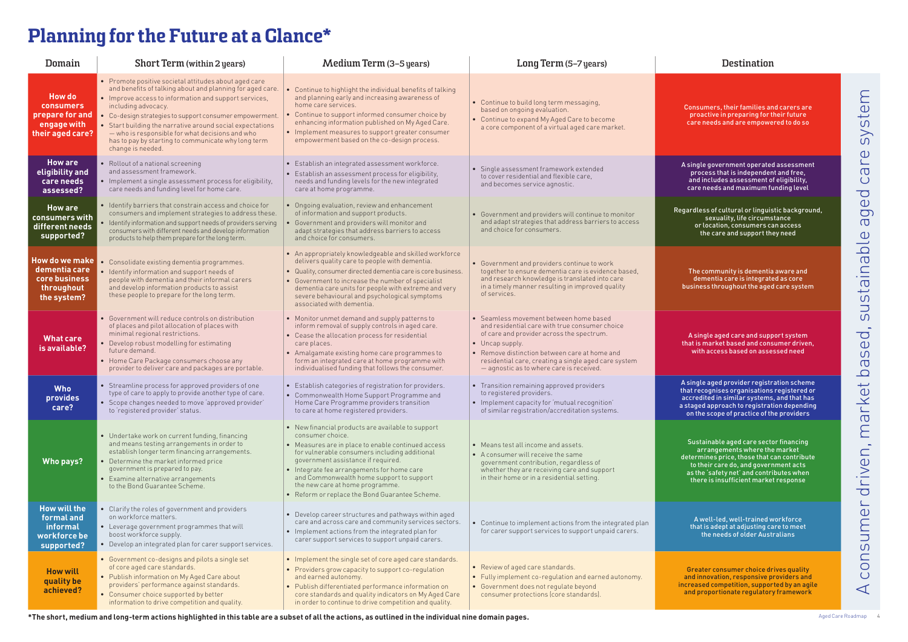Consumers, their families and carers are proactive in preparing for their future care needs and are empowered to do so

egardless of cultural or linguistic background, sexuality, life circumstance or location, consumers can access the care and support they need

A single government operated assessment process that is independent and free, and includes assessment of eligibility, care needs and maximum funding level

A single aged care and support system that is market based and consumer driven, with access based on assessed need

The community is dementia aware and dementia care is integrated as core business throughout the aged care system

| Domain                                                                                  | Short Term (within 2 years)                                                                                                                                                                                                                                                                                                                                                                                                                               | <b>Medium Term (3-5 years)</b>                                                                                                                                                                                                                                                                                                                                                                  | Long Term (5-7 years)                                                                                                                                                                                                                                                                                         | Destination                                                                                                                                                                              |
|-----------------------------------------------------------------------------------------|-----------------------------------------------------------------------------------------------------------------------------------------------------------------------------------------------------------------------------------------------------------------------------------------------------------------------------------------------------------------------------------------------------------------------------------------------------------|-------------------------------------------------------------------------------------------------------------------------------------------------------------------------------------------------------------------------------------------------------------------------------------------------------------------------------------------------------------------------------------------------|---------------------------------------------------------------------------------------------------------------------------------------------------------------------------------------------------------------------------------------------------------------------------------------------------------------|------------------------------------------------------------------------------------------------------------------------------------------------------------------------------------------|
| <b>How do</b><br><b>consumers</b><br>prepare for and<br>engage with<br>their aged care? | • Promote positive societal attitudes about aged care<br>and benefits of talking about and planning for aged care.<br>• Improve access to information and support services,<br>including advocacy.<br>• Co-design strategies to support consumer empowerment.<br>• Start building the narrative around social expectations<br>- who is responsible for what decisions and who<br>has to pay by starting to communicate why long term<br>change is needed. | Continue to highlight the individual benefits of talking<br>and planning early and increasing awareness of<br>home care services.<br>Continue to support informed consumer choice by<br>enhancing information published on My Aged Care.<br>• Implement measures to support greater consumer<br>empowerment based on the co-design process.                                                     | • Continue to build long term messaging,<br>based on ongoing evaluation.<br>• Continue to expand My Aged Care to become<br>a core component of a virtual aged care market.                                                                                                                                    | Consumers, their families ar<br>proactive in preparing for t<br>care needs and are empowe                                                                                                |
| <b>How are</b><br>eligibility and<br>care needs<br>assessed?                            | • Rollout of a national screening<br>and assessment framework.<br>• Implement a single assessment process for eligibility,<br>care needs and funding level for home care.                                                                                                                                                                                                                                                                                 | · Establish an integrated assessment workforce.<br>• Establish an assessment process for eligibility,<br>needs and funding levels for the new integrated<br>care at home programme.                                                                                                                                                                                                             | · Single assessment framework extended<br>to cover residential and flexible care.<br>and becomes service agnostic.                                                                                                                                                                                            | A single government operated<br>process that is independen<br>and includes assessment o<br>care needs and maximum fu                                                                     |
| <b>How are</b><br>consumers with<br>different needs<br>supported?                       | • Identify barriers that constrain access and choice for<br>consumers and implement strategies to address these.<br>• Identify information and support needs of providers serving<br>consumers with different needs and develop information<br>products to help them prepare for the long term.                                                                                                                                                           | Ongoing evaluation, review and enhancement<br>of information and support products.<br>Government and providers will monitor and<br>adapt strategies that address barriers to access<br>and choice for consumers.                                                                                                                                                                                | • Government and providers will continue to monitor<br>and adapt strategies that address barriers to access<br>and choice for consumers.                                                                                                                                                                      | Regardless of cultural or linguis<br>sexuality, life circums<br>or location, consumers ca<br>the care and support the                                                                    |
| <b>How do we make</b><br>dementia care<br>core business<br>throughout<br>the system?    | • Consolidate existing dementia programmes.<br>· Identify information and support needs of<br>people with dementia and their informal carers<br>and develop information products to assist<br>these people to prepare for the long term.                                                                                                                                                                                                                  | • An appropriately knowledgeable and skilled workforce<br>delivers quality care to people with dementia.<br>· Quality, consumer directed dementia care is core business.<br>Government to increase the number of specialist<br>dementia care units for people with extreme and very<br>severe behavioural and psychological symptoms<br>associated with dementia.                               | • Government and providers continue to work<br>together to ensure dementia care is evidence based,<br>and research knowledge is translated into care<br>in a timely manner resulting in improved quality<br>of services.                                                                                      | The community is dementia<br>dementia care is integrate<br>business throughout the aged                                                                                                  |
| <b>What care</b><br>is available?                                                       | • Government will reduce controls on distribution<br>of places and pilot allocation of places with<br>minimal regional restrictions.<br>• Develop robust modelling for estimating<br>future demand.<br>• Home Care Package consumers choose any<br>provider to deliver care and packages are portable.                                                                                                                                                    | • Monitor unmet demand and supply patterns to<br>inform removal of supply controls in aged care.<br>• Cease the allocation process for residential<br>care places.<br>• Amalgamate existing home care programmes to<br>form an integrated care at home programme with<br>individualised funding that follows the consumer.                                                                      | • Seamless movement between home based<br>and residential care with true consumer choice<br>of care and provider across the spectrum.<br>• Uncap supply.<br>• Remove distinction between care at home and<br>residential care, creating a single aged care system<br>- agnostic as to where care is received. | A single aged care and supp<br>that is market based and cons<br>with access based on asse                                                                                                |
| <b>Who</b><br>provides<br>care?                                                         | • Streamline process for approved providers of one<br>type of care to apply to provide another type of care.<br>· Scope changes needed to move 'approved provider'<br>to 'registered provider' status.                                                                                                                                                                                                                                                    | Establish categories of registration for providers.<br>• Commonwealth Home Support Programme and<br>Home Care Programme providers transition<br>to care at home registered providers.                                                                                                                                                                                                           | • Transition remaining approved providers<br>to registered providers.<br>• Implement capacity for 'mutual recognition'<br>of similar registration/accreditation systems.                                                                                                                                      | A single aged provider registr<br>that recognises organisations<br>accredited in similar systems<br>a staged approach to registrat<br>on the scope of practice of th                     |
| Who pays?                                                                               | • Undertake work on current funding, financing<br>and means testing arrangements in order to<br>establish longer term financing arrangements.<br>• Determine the market informed price<br>government is prepared to pay.<br>• Examine alternative arrangements<br>to the Bond Guarantee Scheme.                                                                                                                                                           | • New financial products are available to support<br>consumer choice.<br>• Measures are in place to enable continued access<br>for vulnerable consumers including additional<br>government assistance if required.<br>Integrate fee arrangements for home care<br>and Commonwealth home support to support<br>the new care at home programme.<br>• Reform or replace the Bond Guarantee Scheme. | • Means test all income and assets.<br>• A consumer will receive the same<br>government contribution, regardless of<br>whether they are receiving care and support<br>in their home or in a residential setting.                                                                                              | Sustainable aged care secto<br>arrangements where the<br>determines price, those that c<br>to their care do, and goverr<br>as the 'safety net' and contri<br>there is insufficient marke |
| <b>How will the</b><br>formal and<br><b>informal</b><br>workforce be<br>supported?      | • Clarify the roles of government and providers<br>on workforce matters.<br>• Leverage government programmes that will<br>boost workforce supply.<br>• Develop an integrated plan for carer support services.                                                                                                                                                                                                                                             | • Develop career structures and pathways within aged<br>care and across care and community services sectors.<br>• Implement actions from the integrated plan for<br>carer support services to support unpaid carers.                                                                                                                                                                            | • Continue to implement actions from the integrated plan<br>for carer support services to support unpaid carers.                                                                                                                                                                                              | A well-led, well-trained w<br>that is adept at adjusting ca<br>the needs of older Aust                                                                                                   |
| <b>How will</b><br>quality be<br>achieved?                                              | • Government co-designs and pilots a single set<br>of core aged care standards.<br>• Publish information on My Aged Care about<br>providers' performance against standards.<br>• Consumer choice supported by better<br>information to drive competition and quality.                                                                                                                                                                                     | • Implement the single set of core aged care standards.<br>• Providers grow capacity to support co-regulation<br>and earned autonomy.<br>• Publish differentiated performance information on<br>core standards and quality indicators on My Aged Care<br>in order to continue to drive competition and quality.                                                                                 | • Review of aged care standards.<br>• Fully implement co-regulation and earned autonomy.<br>• Government does not regulate beyond<br>consumer protections (core standards).                                                                                                                                   | Greater consumer choice dr<br>and innovation, responsive p<br>increased competition, suppor<br>and proportionate regulator                                                               |

A single aged provider registration scheme that recognises organisations registered or accredited in similar systems, and that has a staged approach to registration depending on the scope of practice of the providers

Sustainable aged care sector financing arrangements where the market determines price, those that can contribute to their care do, and government acts as the 'safety net' and contributes when there is insufficient market response

A well-led, well-trained workforce that is adept at adjusting care to meet the needs of older Australians

Greater consumer choice drives quality and innovation, responsive providers and increased competition, supported by an agile and proportionate regulatory framework

system A consumer driven, market based, sustainable aged care system **P**  $\overline{\sigma}$  $\bigcup$  $\overline{C}$  $\bigcirc$  $\overline{O}$  $\sigma$  $\overline{\omega}$  $\overline{q}$ justaina  $\sigma$  $\overline{\phantom{a}}$  $\overline{\mathsf{C}}$  $\sigma$ driven, market ba nsumer  $\overline{O}$  $\bigcup$  $\blacktriangleleft$ 

# <span id="page-3-0"></span>Planning for the Future at a Glance\*

**\*The short, medium and long-term actions highlighted in this table are a subset of all the actions, as outlined in the individual nine domain pages.**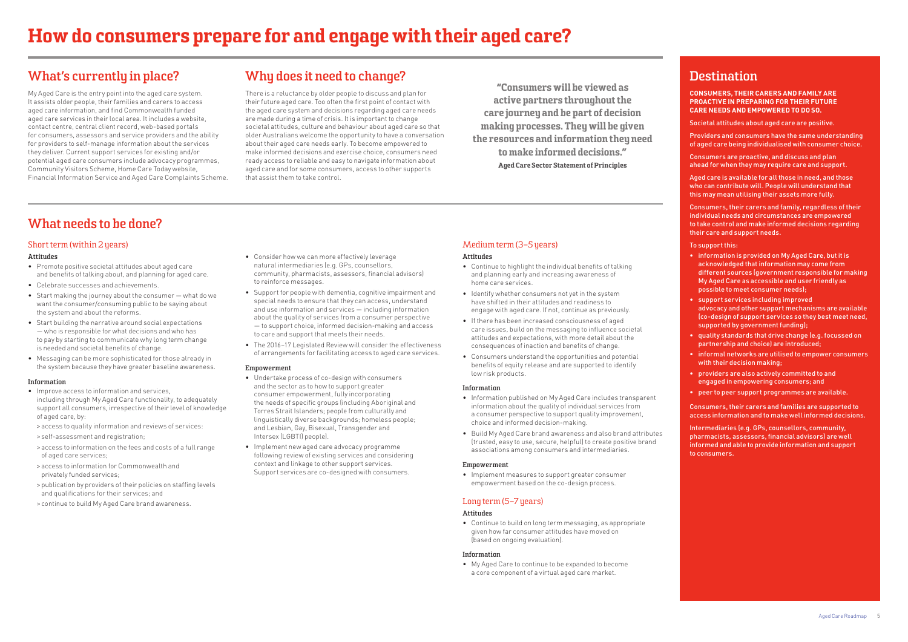### Medium term (3–5 years)

#### **Attitudes**

- Continue to highlight the individual benefits of talking and planning early and increasing awareness of home care services.
- Identify whether consumers not yet in the system have shifted in their attitudes and readiness to engage with aged care. If not, continue as previously.
- If there has been increased consciousness of aged care issues, build on the messaging to influence societal attitudes and expectations, with more detail about the consequences of inaction and benefits of change.
- Consumers understand the opportunities and potential benefits of equity release and are supported to identify low risk products.

#### **Information**

- Information published on My Aged Care includes transparent information about the quality of individual services from a consumer perspective to support quality improvement, choice and informed decision-making.
- Build My Aged Care brand awareness and also brand attributes (trusted, easy to use, secure, helpful) to create positive brand associations among consumers and intermediaries.

#### **Empowerment**

• Implement measures to support greater consumer empowerment based on the co-design process.

### Long term (5–7 years)

#### **Attitudes**

• Continue to build on long term messaging, as appropriate given how far consumer attitudes have moved on (based on ongoing evaluation).

#### **Information**

• My Aged Care to continue to be expanded to become a core component of a virtual aged care market.

"Consumers will be viewed as active partners throughout the care journey and be part of decision making processes. They will be given the resources and information they need to make informed decisions." Aged Care Sector Statement of Principles

### **Destination**

**CONSUMERS, THEIR CARERS AND FAMILY ARE PROACTIVE IN PREPARING FOR THEIR FUTURE CARE NEEDS AND EMPOWERED TO DO SO.**

Societal attitudes about aged care are positive.

Providers and consumers have the same understanding of aged care being individualised with consumer choice.

Consumers are proactive, and discuss and plan ahead for when they may require care and support.

Aged care is available for all those in need, and those who can contribute will. People will understand that this may mean utilising their assets more fully.

Consumers, their carers and family, regardless of their individual needs and circumstances are empowered to take control and make informed decisions regarding their care and support needs.

To support this:

- information is provided on My Aged Care, but it is acknowledged that information may come from different sources (government responsible for making My Aged Care as accessible and user friendly as possible to meet consumer needs);
- support services including improved advocacy and other support mechanisms are available (co-design of support services so they best meet need, supported by government funding);
- quality standards that drive change (e.g. focussed on partnership and choice) are introduced;
- informal networks are utilised to empower consumers with their decision making;
- providers are also actively committed to and engaged in empowering consumers; and
- peer to peer support programmes are available.

Consumers, their carers and families are supported to access information and to make well informed decisions.

Intermediaries (e.g. GPs, counsellors, community, pharmacists, assessors, financial advisors) are well informed and able to provide information and support to consumers.

### <span id="page-4-0"></span>**What's currently in place?**

My Aged Care is the entry point into the aged care system. It assists older people, their families and carers to access aged care information, and find Commonwealth funded aged care services in their local area. It includes a website, contact centre, central client record, web-based portals for consumers, assessors and service providers and the ability for providers to self-manage information about the services they deliver. Current support services for existing and/or potential aged care consumers include advocacy programmes, Community Visitors Scheme, Home Care Today website, Financial Information Service and Aged Care Complaints Scheme.

## **What needs to be done?**

### Short term (within 2 years)

#### **Attitudes**

- Promote positive societal attitudes about aged care and benefits of talking about, and planning for aged care.
- Celebrate successes and achievements.
- Start making the journey about the consumer what do we want the consumer/consuming public to be saying about the system and about the reforms.
- Start building the narrative around social expectations — who is responsible for what decisions and who has to pay by starting to communicate why long term change is needed and societal benefits of change.
- Messaging can be more sophisticated for those already in the system because they have greater baseline awareness.

#### **Information**

- Improve access to information and services, including through My Aged Care functionality, to adequately support all consumers, irrespective of their level of knowledge of aged care, by:
- > access to quality information and reviews of services:
- > self-assessment and registration;
- > access to information on the fees and costs of a full range of aged care services;
- > access to information for Commonwealth and privately funded services;
- > publication by providers of their policies on staffing levels and qualifications for their services; and
- > continue to build My Aged Care brand awareness.
- Consider how we can more effectively leverage natural intermediaries (e.g. GPs, counsellors, community, pharmacists, assessors, financial advisors) to reinforce messages.
- Support for people with dementia, cognitive impairment and special needs to ensure that they can access, understand and use information and services — including information about the quality of services from a consumer perspective — to support choice, informed decision-making and access to care and support that meets their needs.
- The 2016–17 Legislated Review will consider the effectiveness of arrangements for facilitating access to aged care services.

#### **Empowerment**

- Undertake process of co-design with consumers and the sector as to how to support greater consumer empowerment, fully incorporating the needs of specific groups (including Aboriginal and Torres Strait Islanders; people from culturally and linguistically diverse backgrounds; homeless people; and Lesbian, Gay, Bisexual, Transgender and Intersex (LGBTI) people).
- Implement new aged care advocacy programme following review of existing services and considering context and linkage to other support services. Support services are co-designed with consumers.

## **Why does it need to change?**

There is a reluctance by older people to discuss and plan for their future aged care. Too often the first point of contact with the aged care system and decisions regarding aged care needs are made during a time of crisis. It is important to change societal attitudes, culture and behaviour about aged care so that older Australians welcome the opportunity to have a conversation about their aged care needs early. To become empowered to make informed decisions and exercise choice, consumers need ready access to reliable and easy to navigate information about aged care and for some consumers, access to other supports that assist them to take control.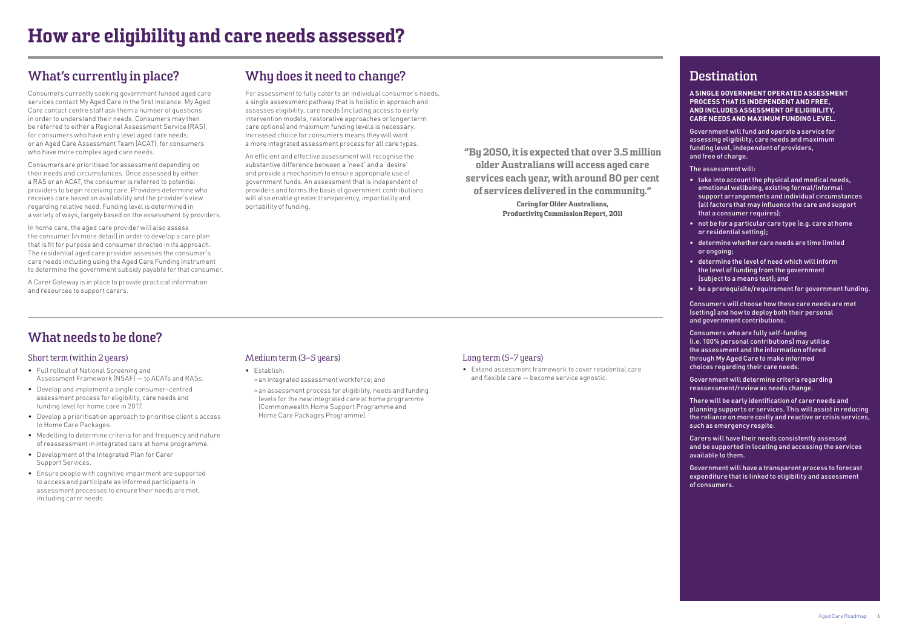"By 2050, it is expected that over 3.5 million older Australians will access aged care services each year, with around 80 per cent of services delivered in the community."

> Caring for Older Australians, Productivity Commission Report, 2011

### **Destination**

**A SINGLE GOVERNMENT OPERATED ASSESSMENT PROCESS THAT IS INDEPENDENT AND FREE, AND INCLUDES ASSESSMENT OF ELIGIBILITY, CARE NEEDS AND MAXIMUM FUNDING LEVEL.**

Government will fund and operate a service for assessing eligibility, care needs and maximum funding level, independent of providers, and free of charge.

The assessment will:

- take into account the physical and medical needs, emotional wellbeing, existing formal/informal support arrangements and individual circumstances (all factors that may influence the care and support that a consumer requires);
- not be for a particular care type (e.g. care at home or residential setting);
- determine whether care needs are time limited or ongoing;
- determine the level of need which will inform the level of funding from the government (subject to a means test); and
- be a prerequisite/requirement for government funding.

Consumers will choose how these care needs are met (setting) and how to deploy both their personal and government contributions.

Consumers who are fully self-funding (i.e. 100% personal contributions) may utilise the assessment and the information offered through My Aged Care to make informed choices regarding their care needs.

Government will determine criteria regarding reassessment/review as needs change.

There will be early identification of carer needs and planning supports or services. This will assist in reducing the reliance on more costly and reactive or crisis services, such as emergency respite.

Carers will have their needs consistently assessed and be supported in locating and accessing the services available to them.

Government will have a transparent process to forecast expenditure that is linked to eligibility and assessment of consumers.

### <span id="page-5-0"></span>**What's currently in place?**

Consumers currently seeking government funded aged care services contact My Aged Care in the first instance. My Aged Care contact centre staff ask them a number of questions in order to understand their needs. Consumers may then be referred to either a Regional Assessment Service (RAS), for consumers who have entry level aged care needs; or an Aged Care Assessment Team (ACAT), for consumers who have more complex aged care needs.

Consumers are prioritised for assessment depending on their needs and circumstances. Once assessed by either a RAS or an ACAT, the consumer is referred to potential providers to begin receiving care. Providers determine who receives care based on availability and the provider's view regarding relative need. Funding level is determined in a variety of ways, largely based on the assessment by providers.

In home care, the aged care provider will also assess the consumer (in more detail) in order to develop a care plan that is fit for purpose and consumer directed in its approach. The residential aged care provider assesses the consumer's care needs including using the Aged Care Funding Instrument to determine the government subsidy payable for that consumer.

A Carer Gateway is in place to provide practical information and resources to support carers.

### **What needs to be done?**

### Short term (within 2 years)

- Full rollout of National Screening and Assessment Framework (NSAF) — to ACATs and RASs.
- Develop and implement a single consumer-centred assessment process for eligibility, care needs and funding level for home care in 2017.
- Develop a prioritisation approach to prioritise client's access to Home Care Packages.
- Modelling to determine criteria for and frequency and nature of reassessment in integrated care at home programme.
- Development of the Integrated Plan for Carer Support Services.
- Ensure people with cognitive impairment are supported to access and participate as informed participants in assessment processes to ensure their needs are met, including carer needs.

### Medium term (3–5 years)

- Establish:
- > an integrated assessment workforce; and
- > an assessment process for eligibility, needs and funding levels for the new integrated care at home programme (Commonwealth Home Support Programme and Home Care Packages Programme).

### Long term (5-7 years)

• Extend assessment framework to cover residential care and flexible care — become service agnostic.

### **Why does it need to change?**

For assessment to fully cater to an individual consumer's needs, a single assessment pathway that is holistic in approach and assesses eligibility, care needs (including access to early intervention models, restorative approaches or longer term care options) and maximum funding levels is necessary. Increased choice for consumers means they will want a more integrated assessment process for all care types.

An efficient and effective assessment will recognise the substantive difference between a 'need' and a 'desire' and provide a mechanism to ensure appropriate use of government funds. An assessment that is independent of providers and forms the basis of government contributions will also enable greater transparency, impartiality and portability of funding.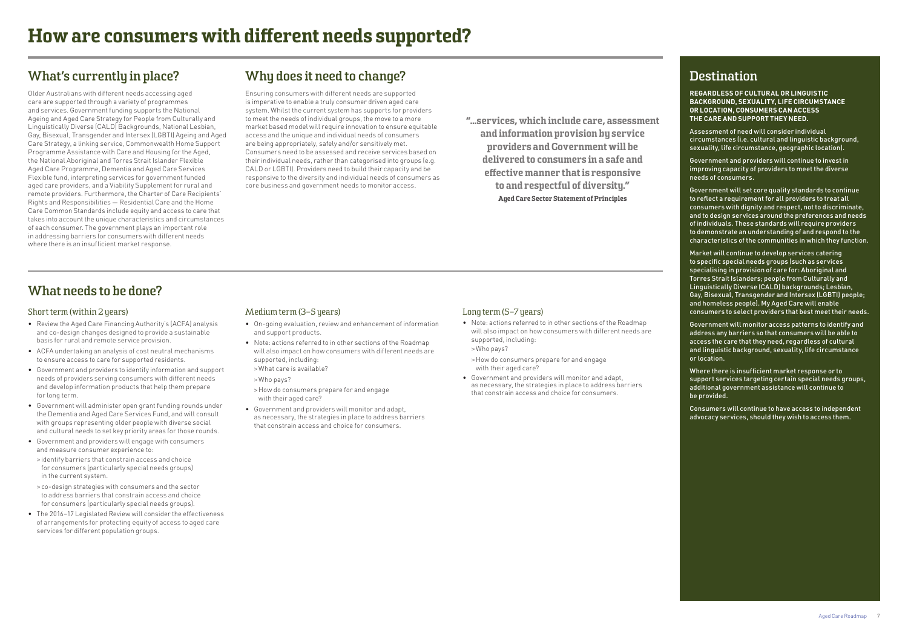"...services, which include care, assessment and information provision by service providers and Government will be delivered to consumers in a safe and effective manner that is responsive to and respectful of diversity." Aged Care Sector Statement of Principles

### **Destination**

**REGARDLESS OF CULTURAL OR LINGUISTIC BACKGROUND, SEXUALITY, LIFE CIRCUMSTANCE OR LOCATION, CONSUMERS CAN ACCESS THE CARE AND SUPPORT THEY NEED.**

Assessment of need will consider individual circumstances (i.e. cultural and linguistic background, sexuality, life circumstance, geographic location).

Government and providers will continue to invest in improving capacity of providers to meet the diverse needs of consumers.

Government will set core quality standards to continue to reflect a requirement for all providers to treat all consumers with dignity and respect, not to discriminate, and to design services around the preferences and needs of individuals. These standards will require providers to demonstrate an understanding of and respond to the characteristics of the communities in which they function.

Market will continue to develop services catering to specific special needs groups (such as services specialising in provision of care for: Aboriginal and Torres Strait Islanders; people from Culturally and Linguistically Diverse (CALD) backgrounds; Lesbian, Gay, Bisexual, Transgender and Intersex (LGBTI) people; and homeless people). My Aged Care will enable consumers to select providers that best meet their needs.

Government will monitor access patterns to identify and address any barriers so that consumers will be able to access the care that they need, regardless of cultural and linguistic background, sexuality, life circumstance or location.

Where there is insufficient market response or to support services targeting certain special needs groups, additional government assistance will continue to be provided.

Consumers will continue to have access to independent advocacy services, should they wish to access them.

### <span id="page-6-0"></span>**What's currently in place?**

Older Australians with different needs accessing aged care are supported through a variety of programmes and services. Government funding supports the National Ageing and Aged Care Strategy for People from Culturally and Linguistically Diverse (CALD) Backgrounds, National Lesbian, Gay, Bisexual, Transgender and Intersex (LGBTI) Ageing and Aged Care Strategy, a linking service, Commonwealth Home Support Programme Assistance with Care and Housing for the Aged, the National Aboriginal and Torres Strait Islander Flexible Aged Care Programme, Dementia and Aged Care Services Flexible fund, interpreting services for government funded aged care providers, and a Viability Supplement for rural and remote providers. Furthermore, the Charter of Care Recipients' Rights and Responsibilities — Residential Care and the Home Care Common Standards include equity and access to care that takes into account the unique characteristics and circumstances of each consumer. The government plays an important role in addressing barriers for consumers with different needs where there is an insufficient market response.

### **Why does it need to change?**

Ensuring consumers with different needs are supported is imperative to enable a truly consumer driven aged care system. Whilst the current system has supports for providers to meet the needs of individual groups, the move to a more market based model will require innovation to ensure equitable access and the unique and individual needs of consumers are being appropriately, safely and/or sensitively met. Consumers need to be assessed and receive services based on their individual needs, rather than categorised into groups (e.g. CALD or LGBTI). Providers need to build their capacity and be responsive to the diversity and individual needs of consumers as core business and government needs to monitor access.

### **What needs to be done?**

### Short term (within 2 years)

- Review the Aged Care Financing Authority's (ACFA) analysis and co-design changes designed to provide a sustainable basis for rural and remote service provision.
- ACFA undertaking an analysis of cost neutral mechanisms to ensure access to care for supported residents.
- Government and providers to identify information and support needs of providers serving consumers with different needs and develop information products that help them prepare for long term.
- Government will administer open grant funding rounds under the Dementia and Aged Care Services Fund, and will consult with groups representing older people with diverse social and cultural needs to set key priority areas for those rounds.
- Government and providers will engage with consumers and measure consumer experience to:
- > identify barriers that constrain access and choice for consumers (particularly special needs groups) in the current system.
- > co-design strategies with consumers and the sector to address barriers that constrain access and choice for consumers (particularly special needs groups).
- The 2016–17 Legislated Review will consider the effectiveness of arrangements for protecting equity of access to aged care services for different population groups.

### Medium term (3–5 years)

- On-going evaluation, review and enhancement of information and support products.
- Note: actions referred to in other sections of the Roadmap will also impact on how consumers with different needs are supported, including: • > What care is available?

• > Who pays?

- > How do consumers prepare for and engage with their aged care?
- Government and providers will monitor and adapt, as necessary, the strategies in place to address barriers that constrain access and choice for consumers.

### Long term (5–7 years)

- Note: actions referred to in other sections of the Roadmap will also impact on how consumers with different needs are supported, including:
- > Who pays?
- > How do consumers prepare for and engage with their aged care?
- Government and providers will monitor and adapt, as necessary, the strategies in place to address barriers that constrain access and choice for consumers.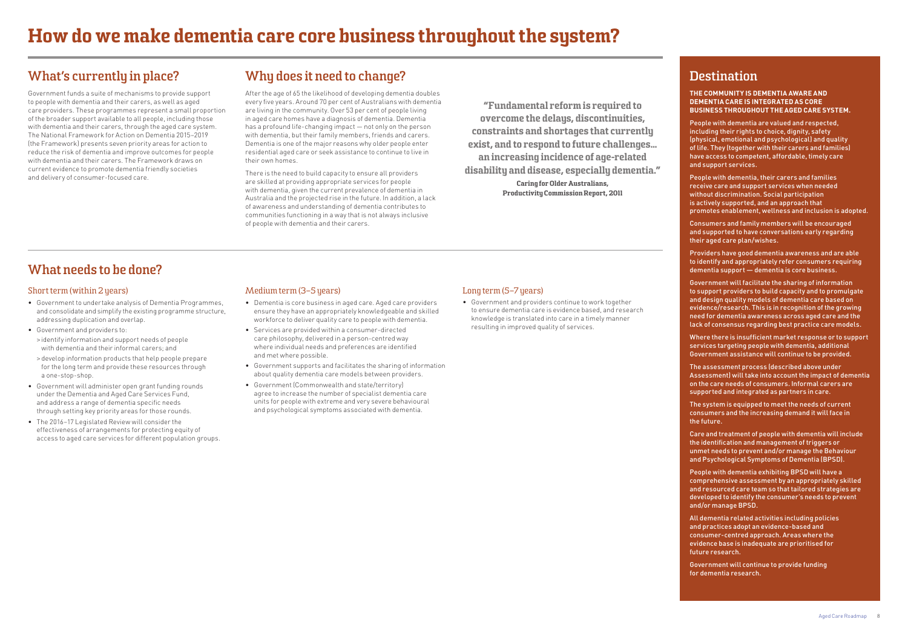"Fundamental reform is required to overcome the delays, discontinuities, constraints and shortages that currently exist, and to respond to future challenges... an increasing incidence of age-related disability and disease, especially dementia." Caring for Older Australians, Productivity Commission Report, 2011

### **Destination**

**THE COMMUNITY IS DEMENTIA AWARE AND DEMENTIA CARE IS INTEGRATED AS CORE BUSINESS THROUGHOUT THE AGED CARE SYSTEM.**

People with dementia are valued and respected, including their rights to choice, dignity, safety (physical, emotional and psychological) and quality of life. They (together with their carers and families) have access to competent, affordable, timely care and support services.

People with dementia, their carers and families receive care and support services when needed without discrimination. Social participation is actively supported, and an approach that promotes enablement, wellness and inclusion is adopted.

Consumers and family members will be encouraged and supported to have conversations early regarding their aged care plan/wishes.

Providers have good dementia awareness and are able to identify and appropriately refer consumers requiring dementia support — dementia is core business.

Government will facilitate the sharing of information to support providers to build capacity and to promulgate and design quality models of dementia care based on evidence/research. This is in recognition of the growing need for dementia awareness across aged care and the lack of consensus regarding best practice care models.

Where there is insufficient market response or to support services targeting people with dementia, additional Government assistance will continue to be provided.

The assessment process (described above under Assessment) will take into account the impact of dementia on the care needs of consumers. Informal carers are supported and integrated as partners in care.

The system is equipped to meet the needs of current consumers and the increasing demand it will face in the future.

Care and treatment of people with dementia will include the identification and management of triggers or unmet needs to prevent and/or manage the Behaviour and Psychological Symptoms of Dementia (BPSD).

People with dementia exhibiting BPSD will have a comprehensive assessment by an appropriately skilled and resourced care team so that tailored strategies are developed to identify the consumer's needs to prevent and/or manage BPSD.

All dementia related activities including policies and practices adopt an evidence-based and consumer-centred approach. Areas where the evidence base is inadequate are prioritised for future research.

Government will continue to provide funding for dementia research.

### <span id="page-7-0"></span>**What's currently in place?**

Government funds a suite of mechanisms to provide support to people with dementia and their carers, as well as aged care providers. These programmes represent a small proportion of the broader support available to all people, including those with dementia and their carers, through the aged care system. The National Framework for Action on Dementia 2015–2019 (the Framework) presents seven priority areas for action to reduce the risk of dementia and improve outcomes for people with dementia and their carers. The Framework draws on current evidence to promote dementia friendly societies and delivery of consumer-focused care.

### **Why does it need to change?**

After the age of 65 the likelihood of developing dementia doubles every five years. Around 70 per cent of Australians with dementia are living in the community. Over 53 per cent of people living in aged care homes have a diagnosis of dementia. Dementia has a profound life-changing impact — not only on the person with dementia, but their family members, friends and carers. Dementia is one of the major reasons why older people enter residential aged care or seek assistance to continue to live in their own homes.

There is the need to build capacity to ensure all providers are skilled at providing appropriate services for people with dementia, given the current prevalence of dementia in Australia and the projected rise in the future. In addition, a lack of awareness and understanding of dementia contributes to communities functioning in a way that is not always inclusive of people with dementia and their carers.

### **What needs to be done?**

### Short term (within 2 years)

- Government to undertake analysis of Dementia Programmes, and consolidate and simplify the existing programme structure, addressing duplication and overlap.
- Government and providers to:
- > identify information and support needs of people with dementia and their informal carers; and
- > develop information products that help people prepare for the long term and provide these resources through a one-stop-shop.
- Government will administer open grant funding rounds under the Dementia and Aged Care Services Fund, and address a range of dementia specific needs through setting key priority areas for those rounds.
- The 2016–17 Legislated Review will consider the effectiveness of arrangements for protecting equity of access to aged care services for different population groups.

#### Medium term (3–5 years)

- Dementia is core business in aged care. Aged care providers ensure they have an appropriately knowledgeable and skilled workforce to deliver quality care to people with dementia.
- Services are provided within a consumer-directed care philosophy, delivered in a person-centred way where individual needs and preferences are identified and met where possible.
- Government supports and facilitates the sharing of information about quality dementia care models between providers.
- Government (Commonwealth and state/territory) agree to increase the number of specialist dementia care units for people with extreme and very severe behavioural and psychological symptoms associated with dementia.

### Long term (5-7 years)

• Government and providers continue to work together to ensure dementia care is evidence based, and research knowledge is translated into care in a timely manner resulting in improved quality of services.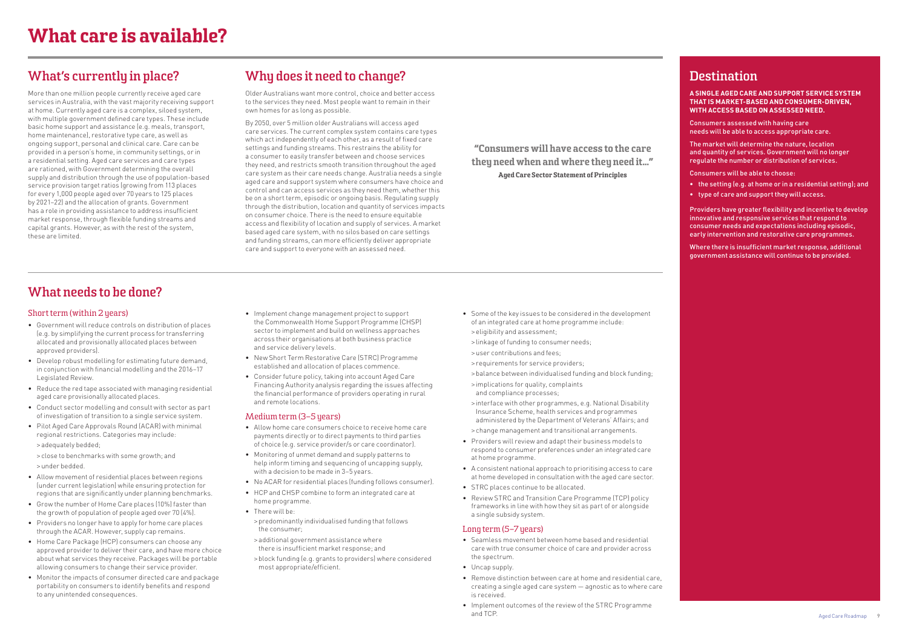"Consumers will have access to the care they need when and where they need it..." Aged Care Sector Statement of Principles

### **Destination**

**A SINGLE AGED CARE AND SUPPORT SERVICE SYSTEM THAT IS MARKET-BASED AND CONSUMER-DRIVEN, WITH ACCESS BASED ON ASSESSED NEED.**

Consumers assessed with having care needs will be able to access appropriate care.

The market will determine the nature, location and quantity of services. Government will no longer regulate the number or distribution of services.

Consumers will be able to choose:

- the setting (e.g. at home or in a residential setting); and
- type of care and support they will access.

Providers have greater flexibility and incentive to develop innovative and responsive services that respond to consumer needs and expectations including episodic, early intervention and restorative care programmes.

Where there is insufficient market response, additional government assistance will continue to be provided.

### <span id="page-8-0"></span>**What's currently in place?**

More than one million people currently receive aged care services in Australia, with the vast majority receiving support at home. Currently aged care is a complex, siloed system, with multiple government defined care types. These include basic home support and assistance (e.g. meals, transport, home maintenance), restorative type care, as well as ongoing support, personal and clinical care. Care can be provided in a person's home, in community settings, or in a residential setting. Aged care services and care types are rationed, with Government determining the overall supply and distribution through the use of population-based service provision target ratios (growing from 113 places for every 1,000 people aged over 70 years to 125 places by 2021–22) and the allocation of grants. Government has a role in providing assistance to address insufficient market response, through flexible funding streams and capital grants. However, as with the rest of the system, these are limited.

### **Why does it need to change?**

Older Australians want more control, choice and better access to the services they need. Most people want to remain in their own homes for as long as possible.

By 2050, over 5 million older Australians will access aged care services. The current complex system contains care types which act independently of each other, as a result of fixed care settings and funding streams. This restrains the ability for a consumer to easily transfer between and choose services they need, and restricts smooth transition throughout the aged care system as their care needs change. Australia needs a single aged care and support system where consumers have choice and control and can access services as they need them, whether this be on a short term, episodic or ongoing basis. Regulating supply through the distribution, location and quantity of services impacts on consumer choice. There is the need to ensure equitable access and flexibility of location and supply of services. A market based aged care system, with no silos based on care settings and funding streams, can more efficiently deliver appropriate care and support to everyone with an assessed need.

### **What needs to be done?**

#### Short term (within 2 years)

- Government will reduce controls on distribution of places (e.g. by simplifying the current process for transferring allocated and provisionally allocated places between approved providers).
- Develop robust modelling for estimating future demand, in conjunction with financial modelling and the 2016–17 Legislated Review.
- Reduce the red tape associated with managing residential aged care provisionally allocated places.
- Conduct sector modelling and consult with sector as part of investigation of transition to a single service system.
- Pilot Aged Care Approvals Round (ACAR) with minimal regional restrictions. Categories may include: • > adequately bedded;

• > close to benchmarks with some growth; and • > under bedded.

- Allow movement of residential places between regions (under current legislation) while ensuring protection for regions that are significantly under planning benchmarks.
- Grow the number of Home Care places (10%) faster than the growth of population of people aged over 70 (4%).
- Providers no longer have to apply for home care places through the ACAR. However, supply cap remains.
- Home Care Package (HCP) consumers can choose any approved provider to deliver their care, and have more choice about what services they receive. Packages will be portable allowing consumers to change their service provider.
- Monitor the impacts of consumer directed care and package portability on consumers to identify benefits and respond to any unintended consequences.
- Implement change management project to support the Commonwealth Home Support Programme (CHSP) sector to implement and build on wellness approaches across their organisations at both business practice and service delivery levels.
- New Short Term Restorative Care (STRC) Programme established and allocation of places commence.
- Consider future policy, taking into account Aged Care Financing Authority analysis regarding the issues affecting the financial performance of providers operating in rural and remote locations.

#### Medium term (3–5 years)

- Allow home care consumers choice to receive home care payments directly or to direct payments to third parties of choice (e.g. service provider/s or care coordinator).
- Monitoring of unmet demand and supply patterns to help inform timing and sequencing of uncapping supply, with a decision to be made in 3–5 years.
- No ACAR for residential places (funding follows consumer).
- HCP and CHSP combine to form an integrated care at home programme.
- There will be:
- > predominantly individualised funding that follows the consumer;
- > additional government assistance where there is insufficient market response; and
- > block funding (e.g. grants to providers) where considered most appropriate/efficient.
- Some of the key issues to be considered in the development of an integrated care at home programme include: • > eligibility and assessment;
- > linkage of funding to consumer needs;
- > user contributions and fees;
- > requirements for service providers;
- > balance between individualised funding and block funding;
- > implications for quality, complaints and compliance processes;
- > interface with other programmes, e.g. National Disability Insurance Scheme, health services and programmes administered by the Department of Veterans' Affairs; and
- > change management and transitional arrangements.
- Providers will review and adapt their business models to respond to consumer preferences under an integrated care at home programme.
- A consistent national approach to prioritising access to care at home developed in consultation with the aged care sector.
- STRC places continue to be allocated.
- Review STRC and Transition Care Programme (TCP) policy frameworks in line with how they sit as part of or alongside a single subsidy system.

### Long term (5-7 years)

- Seamless movement between home based and residential care with true consumer choice of care and provider across the spectrum.
- Uncap supply.
- Remove distinction between care at home and residential care, creating a single aged care system — agnostic as to where care is received.
- Implement outcomes of the review of the STRC Programme and TCP.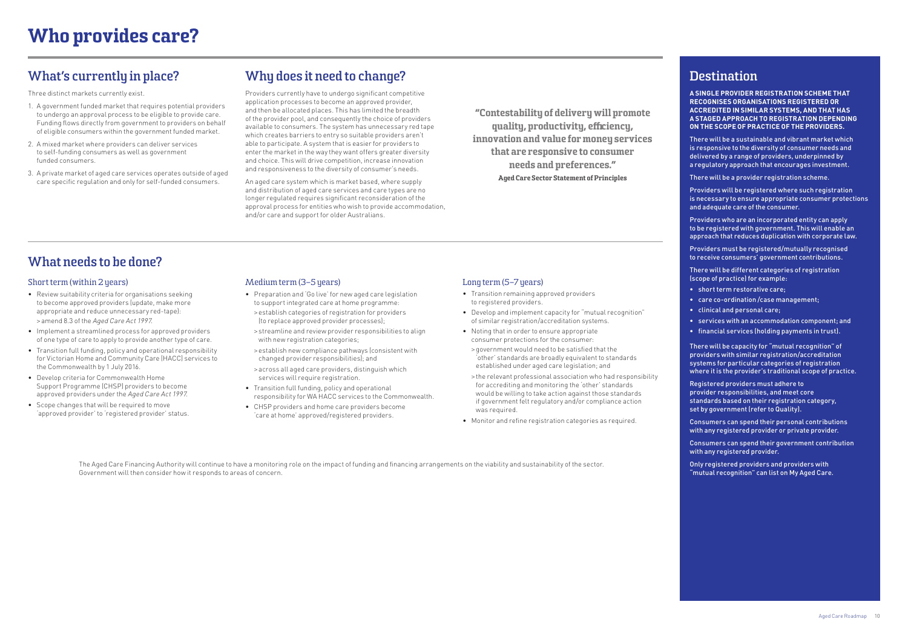"Contestability of delivery will promote quality, productivity, efficiency, innovation and value for money services that are responsive to consumer needs and preferences." Aged Care Sector Statement of Principles

### **Destination**

**A SINGLE PROVIDER REGISTRATION SCHEME THAT RECOGNISES ORGANISATIONS REGISTERED OR ACCREDITED IN SIMILAR SYSTEMS, AND THAT HAS A STAGED APPROACH TO REGISTRATION DEPENDING ON THE SCOPE OF PRACTICE OF THE PROVIDERS.**

There will be a sustainable and vibrant market which is responsive to the diversity of consumer needs and delivered by a range of providers, underpinned by a regulatory approach that encourages investment.

There will be a provider registration scheme.

Providers will be registered where such registration is necessary to ensure appropriate consumer protections and adequate care of the consumer.

Providers who are an incorporated entity can apply to be registered with government. This will enable an approach that reduces duplication with corporate law.

Providers must be registered/mutually recognised to receive consumers' government contributions.

There will be different categories of registration (scope of practice) for example:

- short term restorative care;
- care co-ordination /case management;
- clinical and personal care;
- services with an accommodation component; and
- financial services (holding payments in trust).

There will be capacity for "mutual recognition" of providers with similar registration/accreditation systems for particular categories of registration where it is the provider's traditional scope of practice.

Registered providers must adhere to provider responsibilities, and meet core standards based on their registration category, set by government (refer to Quality).

Consumers can spend their personal contributions with any registered provider or private provider.

Consumers can spend their government contribution with any registered provider.

Only registered providers and providers with "mutual recognition" can list on My Aged Care.

### <span id="page-9-0"></span>**What's currently in place?**

Three distinct markets currently exist.

- 1. A government funded market that requires potential providers to undergo an approval process to be eligible to provide care. Funding flows directly from government to providers on behalf of eligible consumers within the government funded market.
- 2. A mixed market where providers can deliver services to self-funding consumers as well as government funded consumers.
- 3. A private market of aged care services operates outside of aged care specific regulation and only for self-funded consumers.

The Aged Care Financing Authority will continue to have a monitoring role on the impact of funding and financing arrangements on the viability and sustainability of the sector. Government will then consider how it responds to areas of concern.

### **Why does it need to change?**

Providers currently have to undergo significant competitive application processes to become an approved provider, and then be allocated places. This has limited the breadth of the provider pool, and consequently the choice of providers available to consumers. The system has unnecessary red tape which creates barriers to entry so suitable providers aren't able to participate. A system that is easier for providers to enter the market in the way they want offers greater diversity and choice. This will drive competition, increase innovation and responsiveness to the diversity of consumer's needs.

An aged care system which is market based, where supply and distribution of aged care services and care types are no longer regulated requires significant reconsideration of the approval process for entities who wish to provide accommodation, and/or care and support for older Australians.

### **What needs to be done?**

#### Short term (within 2 years)

- Review suitability criteria for organisations seeking to become approved providers (update, make more appropriate and reduce unnecessary red-tape): • > amend 8.3 of the Aged Care Act 1997.
- Implement a streamlined process for approved providers of one type of care to apply to provide another type of care.
- Transition full funding, policy and operational responsibility for Victorian Home and Community Care (HACC) services to the Commonwealth by 1 July 2016.
- Develop criteria for Commonwealth Home Support Programme (CHSP) providers to become approved providers under the Aged Care Act 1997.
- Scope changes that will be required to move 'approved provider' to 'registered provider' status.

#### Medium term (3-5 years)

- Preparation and 'Go live' for new aged care legislation to support integrated care at home programme: • > establish categories of registration for providers (to replace approved provider processes);
- > streamline and review provider responsibilities to align with new registration categories;
- > establish new compliance pathways (consistent with changed provider responsibilities); and
- > across all aged care providers, distinguish which services will require registration.
- Transition full funding, policy and operational responsibility for WA HACC services to the Commonwealth.
- CHSP providers and home care providers become 'care at home' approved/registered providers.

### Long term (5-7 years)

- Transition remaining approved providers to registered providers.
- Develop and implement capacity for "mutual recognition" of similar registration/accreditation systems.
- Noting that in order to ensure appropriate consumer protections for the consumer:
- > government would need to be satisfied that the 'other' standards are broadly equivalent to standards established under aged care legislation; and
- > the relevant professional association who had responsibility for accrediting and monitoring the 'other' standards would be willing to take action against those standards if government felt regulatory and/or compliance action was required.
- Monitor and refine registration categories as required.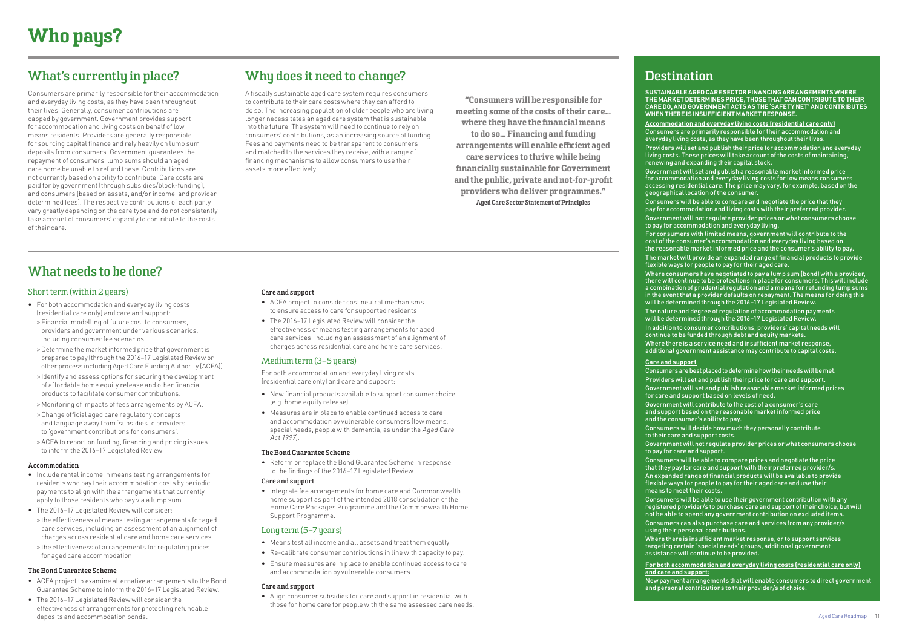"Consumers will be responsible for meeting some of the costs of their care… where they have the financial means to do so... Financing and funding arrangements will enable efficient aged care services to thrive while being financially sustainable for Government and the public, private and not-for-profit providers who deliver programmes." Aged Care Sector Statement of Principles

## **Destination**

- **SUSTAINABLE AGED CARE SECTOR FINANCING ARRANGEMENTS WHERE THE MARKET DETERMINES PRICE, THOSE THAT CAN CONTRIBUTE TO THEIR CARE DO, AND GOVERNMENT ACTS AS THE'SAFETY NET' ANDCONTRIBUTES WHEN THERE ISINSUFFICIENT MARKET RESPONSE.**
- **Accommodation and everyday living costs (residential care only)** Consumers are primarily responsible for their accommodation and everyday living costs, as they have been throughout their lives.
- Providers will set and publish their price for accommodation and everyday living costs. These prices will take account of the costs of maintaining, renewing and expanding their capital stock.
- Government will set and publish a reasonable market informed price for accommodation and everyday living costs for low means consumers accessing residential care. The price may vary, for example, based on the geographical location of the consumer.
- Consumers will be able to compare and negotiate the price that they pay for accommodation and living costs with their preferred provider.
- Government will not regulate provider prices or what consumers choose to pay for accommodation and everyday living.
- For consumers with limited means, government will contribute to the cost of the consumer's accommodation and everyday living based on the reasonable market informed price and the consumer's ability to pay.
- The market will provide an expanded range of financial products to provide flexible ways for people to pay for their aged care.
- Where consumers have negotiated to pay a lump sum (bond) with a provider, there will continue to be protections in place for consumers. This will include a combination of prudential regulation and a means for refunding lump sums in the event that a provider defaults on repayment. The means for doing this will be determined through the 2016–17 Legislated Review.
- The nature and degree of regulation of accommodation payments will be determined through the 2016–17 Legislated Review.
- In addition to consumer contributions, providers' capital needs will continue to be funded through debt and equity markets.
- Where there is a service need and insufficient market response,
- additional government assistance may contribute to capital costs.

**Care and support**  means to meet their costs.

- Consumers are best placed to determine how their needs will be met.
- Providers will set and publish their price for care and support.
- Government will set and publish reasonable market informed prices for care and support based on levels of need.
- Government will contribute to the cost of a consumer's care and support based on the reasonable market informed price and the consumer's ability to pay.
- Consumers will decide how much they personally contribute to their care and support costs.
- Government will not regulate provider prices or what consumers choose to pay for care and support.
- Consumers will be able to compare prices and negotiate the price that they pay for care and support with their preferred provider/s. An expanded range of financial products will be available to provide flexible ways for people to pay for their aged care and use their
- Consumers will be able to use their government contribution with any registered provider/s to purchase care and support of their choice, but will not be able to spend any government contribution on excluded items. Consumers can also purchase care and services from any provider/s using their personal contributions.
- Where there is insufficient market response, or to support services targeting certain 'special needs' groups, additional government assistance will continue to be provided.
- **For both accommodation and everyday living costs (residential care only)**
- New payment arrangements that will enable consumers to direct government and personal contributions to their provider/s of choice.

**and care and support:**

## <span id="page-10-0"></span>**What's currently in place?**

Consumers are primarily responsible for their accommodation and everyday living costs, as they have been throughout their lives. Generally, consumer contributions are capped by government. Government provides support for accommodation and living costs on behalf of low means residents. Providers are generally responsible for sourcing capital finance and rely heavily on lump sum deposits from consumers. Government guarantees the repayment of consumers' lump sums should an aged care home be unable to refund these. Contributions are not currently based on ability to contribute. Care costs are paid for by government (through subsidies/block-funding), and consumers (based on assets, and/or income, and provider determined fees). The respective contributions of each party vary greatly depending on the care type and do not consistently take account of consumers' capacity to contribute to the costs of their care.

### **Why does it need to change?**

A fiscally sustainable aged care system requires consumers to contribute to their care costs where they can afford to do so. The increasing population of older people who are living longer necessitates an aged care system that is sustainable into the future. The system will need to continue to rely on consumers' contributions, as an increasing source of funding. Fees and payments need to be transparent to consumers and matched to the services they receive, with a range of financing mechanisms to allow consumers to use their assets more effectively.

## **What needs to be done?**

### Short term (within 2 years)

- For both accommodation and everyday living costs (residential care only) and care and support:
- > Financial modelling of future cost to consumers, providers and government under various scenarios, including consumer fee scenarios.
- >Determine the market informed price that government is prepared to pay (through the 2016–17 Legislated Review or other process including Aged Care Funding Authority (ACFA)).
- > Identify and assess options for securing the development of affordable home equity release and other financial products to facilitate consumer contributions.
- > Monitoring of impacts of fees arrangements by ACFA.
- > Change official aged care regulatory concepts and language away from 'subsidies to providers' to 'government contributions for consumers'.
- > ACFA to report on funding, financing and pricing issues to inform the 2016–17 Legislated Review.

### **Accommodation**

- Include rental income in means testing arrangements for residents who pay their accommodation costs by periodic payments to align with the arrangements that currently apply to those residents who pay via a lump sum.
- The 2016–17 Legislated Review will consider: • > the effectiveness of means testing arrangements for aged care services, including an assessment of an alignment of charges across residential care and home care services.
- > the effectiveness of arrangements for regulating prices for aged care accommodation.

### **The Bond Guarantee Scheme**

- ACFA project to examine alternative arrangements to the Bond Guarantee Scheme to inform the 2016–17 Legislated Review.
- The 2016–17 Legislated Review will consider the effectiveness of arrangements for protecting refundable deposits and accommodation bonds.

#### **Care and support**

- ACFA project to consider cost neutral mechanisms to ensure access to care for supported residents.
- The 2016–17 Legislated Review will consider the effectiveness of means testing arrangements for aged care services, including an assessment of an alignment of charges across residential care and home care services.

### Medium term (3–5 years)

For both accommodation and everyday living costs (residential care only) and care and support:

- New financial products available to support consumer choice (e.g. home equity release).
- Measures are in place to enable continued access to care and accommodation by vulnerable consumers (low means, special needs, people with dementia, as under the Aged Care Act 1997).

#### **The Bond Guarantee Scheme**

• Reform or replace the Bond Guarantee Scheme in response to the findings of the 2016–17 Legislated Review.

#### **Care and support**

• Integrate fee arrangements for home care and Commonwealth home support as part of the intended 2018 consolidation of the Home Care Packages Programme and the Commonwealth Home Support Programme.

### Long term (5-7 years)

- Means test all income and all assets and treat them equally.
- Re-calibrate consumer contributions in line with capacity to pay.
- Ensure measures are in place to enable continued access to care and accommodation by vulnerable consumers.

#### **Care and support**

• Align consumer subsidies for care and support in residential with those for home care for people with the same assessed care needs.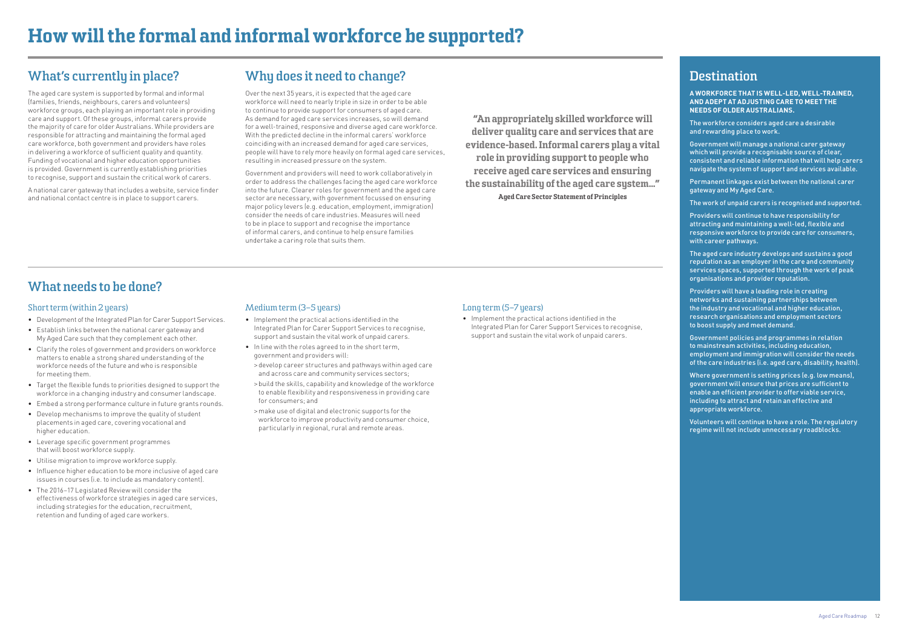"An appropriately skilled workforce will deliver quality care and services that are evidence-based. Informal carers play a vital role in providing support to people who receive aged care services and ensuring the sustainability of the aged care system…" Aged Care Sector Statement of Principles

### **Destination**

**A WORKFORCE THAT IS WELL-LED, WELL-TRAINED, AND ADEPT AT ADJUSTING CARE TO MEET THE NEEDS OF OLDER AUSTRALIANS.**

The workforce considers aged care a desirable and rewarding place to work.

Government will manage a national carer gateway which will provide a recognisable source of clear, consistent and reliable information that will help carers navigate the system of support and services available.

Permanent linkages exist between the national carer gateway and My Aged Care.

The work of unpaid carers is recognised and supported.

Providers will continue to have responsibility for attracting and maintaining a well-led, flexible and responsive workforce to provide care for consumers, with career pathways.

The aged care industry develops and sustains a good reputation as an employer in the care and community services spaces, supported through the work of peak organisations and provider reputation.

Providers will have a leading role in creating networks and sustaining partnerships between the industry and vocational and higher education, research organisations and employment sectors to boost supply and meet demand.

Government policies and programmes in relation to mainstream activities, including education, employment and immigration will consider the needs of the care industries (i.e. aged care, disability, health).

Where government is setting prices (e.g. low means), government will ensure that prices are sufficient to enable an efficient provider to offer viable service, including to attract and retain an effective and appropriate workforce.

Volunteers will continue to have a role. The regulatory regime will not include unnecessary roadblocks.

### <span id="page-11-0"></span>**What's currently in place?**

The aged care system is supported by formal and informal (families, friends, neighbours, carers and volunteers) workforce groups, each playing an important role in providing care and support. Of these groups, informal carers provide the majority of care for older Australians. While providers are responsible for attracting and maintaining the formal aged care workforce, both government and providers have roles in delivering a workforce of sufficient quality and quantity. Funding of vocational and higher education opportunities is provided. Government is currently establishing priorities to recognise, support and sustain the critical work of carers.

A national carer gateway that includes a website, service finder and national contact centre is in place to support carers.

### **Why does it need to change?**

Over the next 35 years, it is expected that the aged care workforce will need to nearly triple in size in order to be able to continue to provide support for consumers of aged care. As demand for aged care services increases, so will demand for a well-trained, responsive and diverse aged care workforce. With the predicted decline in the informal carers' workforce coinciding with an increased demand for aged care services, people will have to rely more heavily on formal aged care services, resulting in increased pressure on the system.

Government and providers will need to work collaboratively in order to address the challenges facing the aged care workforce into the future. Clearer roles for government and the aged care sector are necessary, with government focussed on ensuring major policy levers (e.g. education, employment, immigration) consider the needs of care industries. Measures will need to be in place to support and recognise the importance of informal carers, and continue to help ensure families undertake a caring role that suits them.

### **What needs to be done?**

### Short term (within 2 years)

- Development of the Integrated Plan for Carer Support Services.
- Establish links between the national carer gateway and My Aged Care such that they complement each other.
- Clarify the roles of government and providers on workforce matters to enable a strong shared understanding of the workforce needs of the future and who is responsible for meeting them.
- Target the flexible funds to priorities designed to support the workforce in a changing industry and consumer landscape.
- Embed a strong performance culture in future grants rounds.
- Develop mechanisms to improve the quality of student placements in aged care, covering vocational and higher education.
- Leverage specific government programmes that will boost workforce supply.
- Utilise migration to improve workforce supply.
- Influence higher education to be more inclusive of aged care issues in courses (i.e. to include as mandatory content).
- The 2016–17 Legislated Review will consider the effectiveness of workforce strategies in aged care services, including strategies for the education, recruitment, retention and funding of aged care workers.

#### Medium term (3-5 years)

- Implement the practical actions identified in the Integrated Plan for Carer Support Services to recognise, support and sustain the vital work of unpaid carers.
- In line with the roles agreed to in the short term, government and providers will:

• > develop career structures and pathways within aged care and across care and community services sectors;

- > build the skills, capability and knowledge of the workforce to enable flexibility and responsiveness in providing care for consumers; and
- > make use of digital and electronic supports for the workforce to improve productivity and consumer choice, particularly in regional, rural and remote areas.

#### Long term (5–7 years)

• Implement the practical actions identified in the Integrated Plan for Carer Support Services to recognise, support and sustain the vital work of unpaid carers.